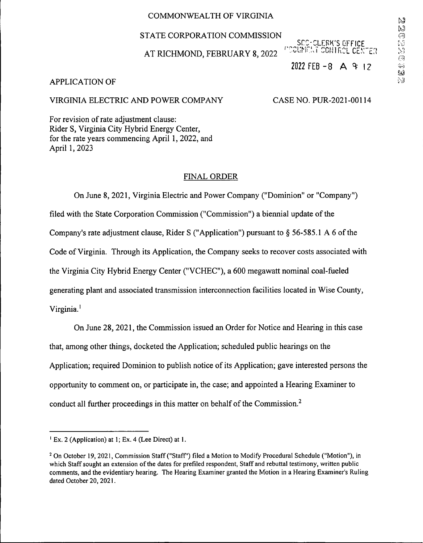# COMMONWEALTH OF VIRGINIA

## STATE CORPORATION COMMISSION

AT RICHMOND, FEBRUARY 8,2022

SCO-CLERK'S OFFICE <sup>i</sup>'dounen contrcl center 2022 FEB - 8  $\land$  3 12

## APPLICATION OF

# VIRGINIA ELECTRIC AND POWER COMPANY CASE NO. PUR-2021-00114

For revision of rate adjustment clause: Rider S, Virginia City Hybrid Energy Center, for the rate years commencing April 1, 2022, and April 1,2023

#### FINAL ORDER

On June 8, 2021, Virginia Electric and Power Company ("Dominion" or "Company") filed with the State Corporation Commission ("Commission") a biennial update of the Company's rate adjustment clause, Rider S ("Application") pursuant to  $\S$  56-585.1 A 6 of the Code ofVirginia. Through its Application, the Company seeks to recover costs associated with the Virginia City Hybrid Energy Center ("VCHEC"), a 600 megawatt nominal coal-fueled generating plant and associated transmission interconnection facilities located in Wise County, Virginia. **<sup>i</sup>**

On June 28,2021, the Commission issued an Order for Notice and Hearing in this case that, among other things, docketed the Application; scheduled public hearings on the Application; required Dominion to publish notice of its Application; gave interested persons the opportunity to comment on, or participate in, the case; and appointed a Hearing Examiner to conduct all further proceedings in this matter on behalf of the Commission. $<sup>2</sup>$ </sup>

Ex. 2 (Application) at 1; Ex. 4 (Lee Direct) at 1.

<sup>&</sup>lt;sup>2</sup> On October 19, 2021, Commission Staff ("Staff") filed a Motion to Modify Procedural Schedule ("Motion"), in which Staff sought an extension of the dates for prefiled respondent, Staff and rebuttal testimony, written public comments, and the evidentiary hearing. The Hearing Examiner granted the Motion in a Hearing Examiner's Ruling dated October 20, 2021.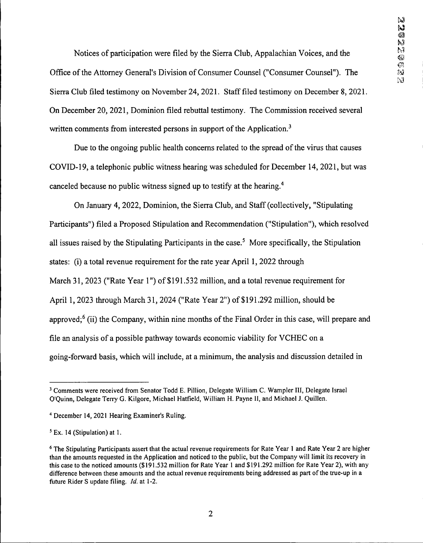Notices of participation were filed by the Sierra Club, Appalachian Voices, and the Office of the Attorney General's Division of Consumer Counsel ("Consumer Counsel"). The Sierra Club filed testimony on November 24, 2021. Stafffiled testimony on December 8, 2021. On December 20, 2021, Dominion filed rebuttal testimony. The Commission received several written comments from interested persons in support of the Application.<sup>3</sup>

Due to the ongoing public health concerns related to the spread of the virus that causes COVID-19, a telephonic public witness hearing was scheduled for December 14, 2021, but was canceled because no public witness signed up to testify at the hearing.4

On January 4, 2022, Dominion, the Siena Club, and Staff(collectively, "Stipulating Participants") filed a Proposed Stipulation and Recommendation ("Stipulation"), which resolved all issues raised by the Stipulating Participants in the case.<sup>5</sup> More specifically, the Stipulation states: (i) a total revenue requirement for the rate year April 1, 2022 through March 31,2023 ("Rate Year 1") of \$191,532 million, and a total revenue requirement for April 1,2023 through March 31, 2024 ("Rate Year 2") of \$191,292 million, should be approved; $<sup>6</sup>$  (ii) the Company, within nine months of the Final Order in this case, will prepare and</sup> file an analysis of a possible pathway towards economic viability for VCHEC on a going-forward basis, which will include, at a minimum, the analysis and discussion detailed in

<sup>3</sup> Comments were received from Senator Todd E. Pillion, Delegate William C. Wampler III, Delegate Israel O'Quinn, Delegate Terry G. Kilgore, Michael Hatfield, William H. Payne II, and Michael J. Quillen.

<sup>4</sup> December 14, 2021 Hearing Examiner's Ruling.

<sup>5</sup>Ex. 14 (Stipulation) at 1.

<sup>&</sup>lt;sup>6</sup> The Stipulating Participants assert that the actual revenue requirements for Rate Year 1 and Rate Year 2 are higher than the amounts requested in the Application and noticed to the public, but the Company will limit its recovery in this case to the noticed amounts (\$191,532 million for Rate Year <sup>1</sup> and \$191,292 million for Rate Year 2), with any difference between these amounts and the actual revenue requirements being addressed as part ofthe true-up in a future Rider S update filing. *Id.* at 1-2.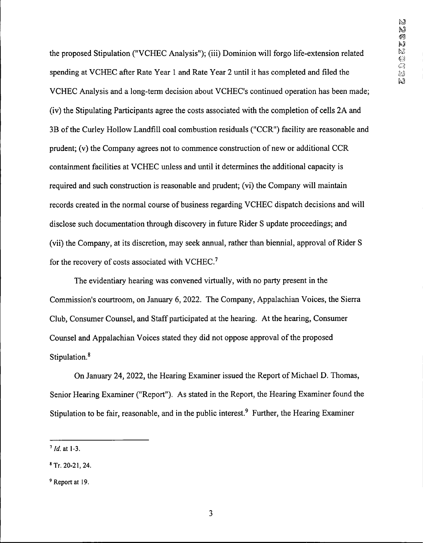the proposed Stipulation ("VCHEC Analysis"); (iii) Dominion will forgo life-extension related spending at VCHEC after Rate Year <sup>1</sup> and Rate Year 2 until it has completed and filed the VCHEC Analysis and a long-term decision about VCHEC's continued operation has been made; (iv) the Stipulating Participants agree the costs associated with the completion of cells 2A and 3B of the Curley Hollow Landfill coal combustion residuals ("CCR") facility are reasonable and prudent; (v) the Company agrees not to commence construction of new or additional CCR containment facilities at VCHEC unless and until it determines the additional capacity is required and such construction is reasonable and prudent; (vi) the Company will maintain records created in the normal course of business regarding VCHEC dispatch decisions and will disclose such documentation through discovery in future Rider S update proceedings; and (vii) the Company, at its discretion, may seek annual, rather than biennial, approval of Rider S for the recovery of costs associated with VCHEC.<sup>7</sup>

The evidentiary hearing was convened virtually, with no party present in the Commission's courtroom, on January 6, 2022. The Company, Appalachian Voices, the Sierra Club, Consumer Counsel, and Staff participated at the hearing. At the hearing, Consumer Counsel and Appalachian Voices stated they did not oppose approval of the proposed **<sup>8</sup>** Stipulation?

On January 24, 2022, the Hearing Examiner issued the Report of Michael D. Thomas, Senior Hearing Examiner ("Report"). As stated in the Report, the Hearing Examiner found the Stipulation to be fair, reasonable, and in the public interest.<sup>9</sup> Further, the Hearing Examiner

<sup>&</sup>lt;sup>7</sup> *Id.* at 1-3.

<sup>8</sup>Tr. 20-21,24.

<sup>9</sup> Report at 19.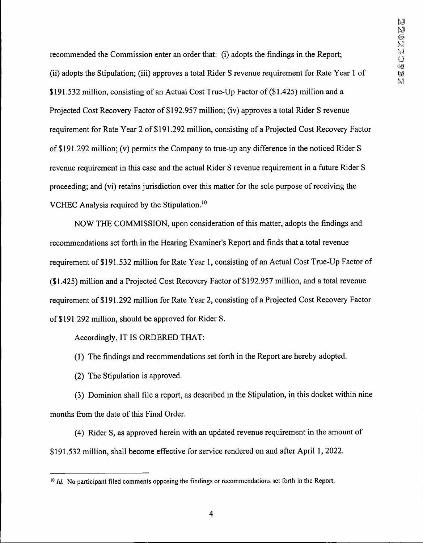recommended the Commission enter an order that: (i) adopts the findings in the Report; (ii) adopts the Stipulation; (iii) approves a total Rider S revenue requirement for Rate Year <sup>1</sup> of \$191.532 million, consisting of an Actual Cost True-Up Factor of (\$1.425) million and a Projected Cost Recovery Factor of \$192,957 million; (iv) approves a total Rider S revenue requirement for Rate Year 2 of \$191.292 million, consisting of a Projected Cost Recovery Factor of \$191.292 million; (v) permits the Company to true-up any difference in the noticed Rider S revenue requirement in this case and the actual Rider S revenue requirement in a future Rider S proceeding; and (vi) retains jurisdiction over this matter for the sole purpose ofreceiving the VCHEC Analysis required by the Stipulation.10

NOW THE COMMISSION, upon consideration of this matter, adopts the findings and recommendations set forth in the Hearing Examiner's Report and finds that a total revenue requirement of \$191.532 million for Rate Year 1, consisting of an Actual Cost True-Up Factor of (\$1,425) million and a Projected Cost Recovery Factor of \$192,957 million, and a total revenue requirement of \$191,292 million for Rate Year 2, consisting of a Projected Cost Recovery Factor of \$191,292 million, should be approved for Rider S.

Accordingly, IT IS ORDERED THAT:

(1) The findings and recommendations set forth in the Report are hereby adopted.

(2) The Stipulation is approved.

(3) Dominion shall file a report, as described in the Stipulation, in this docket within nine months from the date of this Final Order.

(4) Rider S, as approved herein with an updated revenue requirement in the amount of \$191,532 million, shall become effective for service rendered on and after April 1, 2022.

<sup>&</sup>lt;sup>10</sup> *Id.* No participant filed comments opposing the findings or recommendations set forth in the Report.